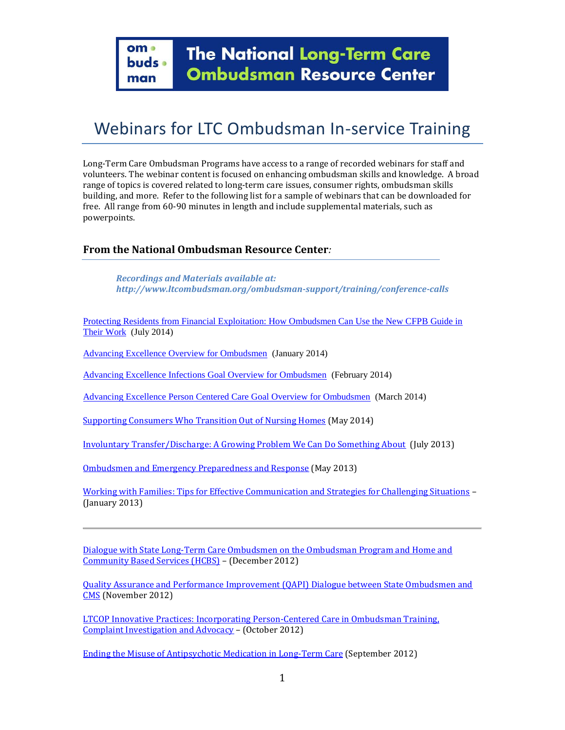# Webinars for LTC Ombudsman In-service Training

Long-Term Care Ombudsman Programs have access to a range of recorded webinars for staff and volunteers. The webinar content is focused on enhancing ombudsman skills and knowledge. A broad range of topics is covered related to long-term care issues, consumer rights, ombudsman skills building, and more. Refer to the following list for a sample of webinars that can be downloaded for free. All range from 60-90 minutes in length and include supplemental materials, such as powerpoints.

## **From the National Ombudsman Resource Center***:*

om o

man

buds ·

*Recordings and Materials available at: <http://www.ltcombudsman.org/ombudsman-support/training/conference-calls>*

[Protecting Residents from Financial Exploitation: How Ombudsmen Can Use the New CFPB Guide in](http://www.ltcombudsman.org/ombudsman-support/training/conference-calls/cfpb-guide)  [Their Work](http://www.ltcombudsman.org/ombudsman-support/training/conference-calls/cfpb-guide) (July 2014)

[Advancing Excellence Overview for Ombudsmen](http://www.ltcombudsman.org/ombudsman-support/training/conference-calls/aewebinar1) (January 2014)

[Advancing Excellence Infections Goal Overview for Ombudsmen](http://www.ltcombudsman.org/ombudsman-support/training/conference-calls/aewebinar2) (February 2014)

[Advancing Excellence Person Centered Care Goal Overview for Ombudsmen](http://www.ltcombudsman.org/ombudsman-support/training/conference-calls/aewebinar3) (March 2014)

[Supporting Consumers Who Transition Out of Nursing Homes](http://www.nclc.org/supporting-consumers-who-transition-out-of-nursing-homes/event-details.html) (May 2014)

[Involuntary Transfer/Discharge: A Growing Problem We Can Do Something About](http://www.ltcombudsman.org/ombudsman-support/training/conference-calls/transfer-discharge) (July 2013)

[Ombudsmen and Emergency Preparedness and Response](http://www.ltcombudsman.org/ombudsman-support/training/conference-calls/emergency-prep) (May 2013)

[Working with Families: Tips for Effective Communication and Strategies for Challenging Situations](http://www.ltcombudsman.org/ombudsman-support/training/conference-calls/family-members) – (January 2013)

[Dialogue with State Long-Term Care Ombudsmen on the Ombudsman Program and Home and](http://www.ltcombudsman.org/ombudsman-support/training/conference-calls/hcbs)  [Community Based Services \(HCBS\)](http://www.ltcombudsman.org/ombudsman-support/training/conference-calls/hcbs) – (December 2012)

[Quality Assurance and Performance Improvement \(QAPI\) Dialogue between State Ombudsmen and](http://www.ltcombudsman.org/ombudsman-support/training/conference-calls/qapi)  [CMS](http://www.ltcombudsman.org/ombudsman-support/training/conference-calls/qapi) (November 2012)

[LTCOP Innovative Practices: Incorporating Person-Centered Care in Ombudsman Training,](http://www.ltcombudsman.org/ombudsman-support/training/conference-calls/person-centered-care)  [Complaint Investigation and Advocacy](http://www.ltcombudsman.org/ombudsman-support/training/conference-calls/person-centered-care) – (October 2012)

[Ending the Misuse of Antipsychotic Medication in Long-Term Care](http://www.theconsumervoice.org/issues/issue_details/misusing-antipsychotics#CV%20Resources) (September 2012)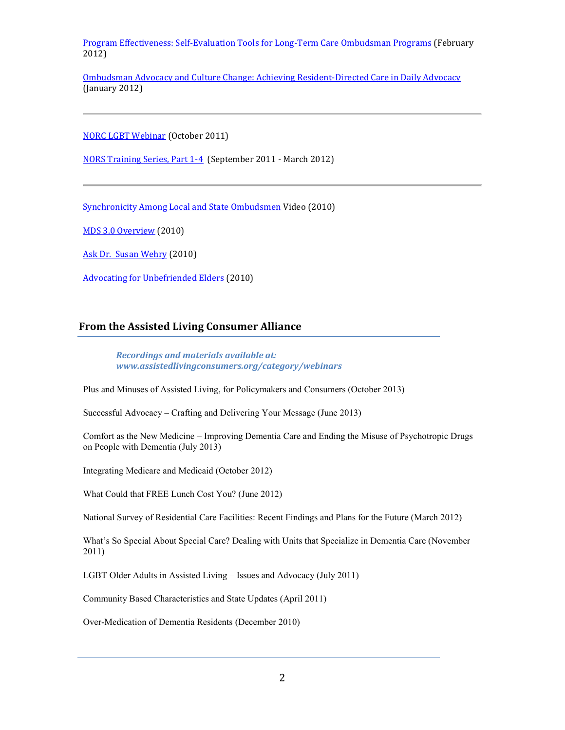[Program Effectiveness: Self-Evaluation Tools for Long-Term Care Ombudsman Programs](http://www.ltcombudsman.org/ombudsman-support/training/conference-calls/program-effectiveness-tool) (February 2012)

[Ombudsman Advocacy and Culture Change: Achieving Resident-Directed Care in Daily Advocacy](http://www.ltcombudsman.org/ombudsman-support/training/conference-calls/ombudsman-advocacy-and-culture-change) (January 2012)

[NORC LGBT](http://www.ltcombudsman.org/Norc-lgbt-webinar) Webinar (October 2011)

[NORS Training Series, Part 1-4](http://www.ltcombudsman.org/ombudsman-support/training#NORS) (September 2011 - March 2012)

[Synchronicity Among Local and State Ombudsmen](http://www.ltcombudsman.org/ombudsman-support/training/conference-calls#synchronicity) Video (2010)

[MDS 3.0 Overview](http://www.ltcombudsman.org/ombudsman-support/training/conference-calls#MDS-3.0) (2010)

Ask Dr. [Susan Wehry](http://www.ltcombudsman.org/ombudsman-support/training/conference-calls#Wehry) (2010)

[Advocating for Unbefriended Elders](http://www.ltcombudsman.org/ombudsman-support/training/conference-calls#Unbefriended) (2010)

### **From the Assisted Living Consumer Alliance**

*Recordings and materials available at: [www.assistedlivingconsumers.org/category/webinars](http://www.assistedlivingconsumers.org/category/webinars)*

Plus and Minuses of Assisted Living, for Policymakers and Consumers (October 2013)

Successful Advocacy – Crafting and Delivering Your Message (June 2013)

Comfort as the New Medicine – Improving Dementia Care and Ending the Misuse of Psychotropic Drugs on People with Dementia (July 2013)

Integrating Medicare and Medicaid (October 2012)

What Could that FREE Lunch Cost You? (June 2012)

National Survey of Residential Care Facilities: Recent Findings and Plans for the Future (March 2012)

What's So Special About Special Care? Dealing with Units that Specialize in Dementia Care (November 2011)

LGBT Older Adults in Assisted Living – Issues and Advocacy (July 2011)

Community Based Characteristics and State Updates (April 2011)

Over-Medication of Dementia Residents (December 2010)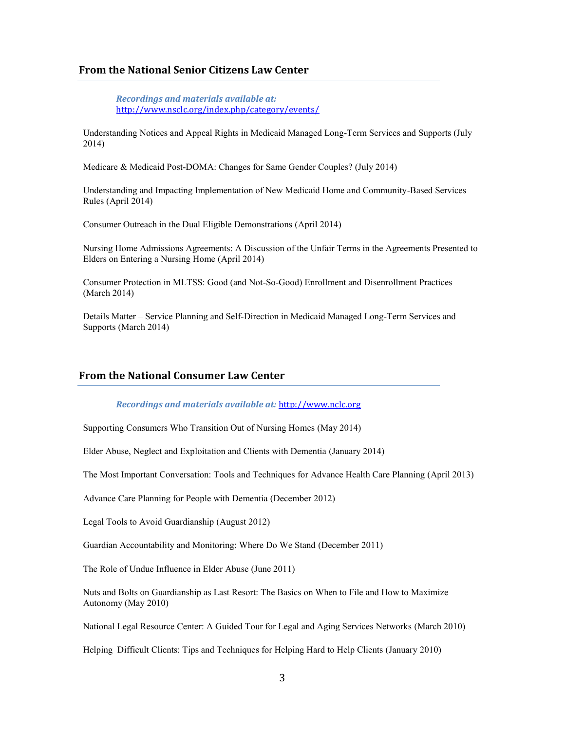#### **From the National Senior Citizens Law Center**

*Recordings and materials available at:*  <http://www.nsclc.org/index.php/category/events/>

Understanding Notices and Appeal Rights in Medicaid Managed Long-Term Services and Supports (July 2014)

Medicare & Medicaid Post-DOMA: Changes for Same Gender Couples? (July 2014)

Understanding and Impacting Implementation of New Medicaid Home and Community-Based Services Rules (April 2014)

Consumer Outreach in the Dual Eligible Demonstrations (April 2014)

Nursing Home Admissions Agreements: A Discussion of the Unfair Terms in the Agreements Presented to Elders on Entering a Nursing Home (April 2014)

Consumer Protection in MLTSS: Good (and Not-So-Good) Enrollment and Disenrollment Practices (March 2014)

Details Matter – Service Planning and Self-Direction in Medicaid Managed Long-Term Services and Supports (March 2014)

## **From the National Consumer Law Center**

#### *Recordings and materials available at:* [http://www.nclc.org](http://www.nclc.org/)

Supporting Consumers Who Transition Out of Nursing Homes (May 2014)

Elder Abuse, Neglect and Exploitation and Clients with Dementia (January 2014)

The Most Important Conversation: Tools and Techniques for Advance Health Care Planning (April 2013)

Advance Care Planning for People with Dementia (December 2012)

Legal Tools to Avoid Guardianship (August 2012)

Guardian Accountability and Monitoring: Where Do We Stand (December 2011)

The Role of Undue Influence in Elder Abuse (June 2011)

Nuts and Bolts on Guardianship as Last Resort: The Basics on When to File and How to Maximize Autonomy (May 2010)

National Legal Resource Center: A Guided Tour for Legal and Aging Services Networks (March 2010)

Helping Difficult Clients: Tips and Techniques for Helping Hard to Help Clients (January 2010)